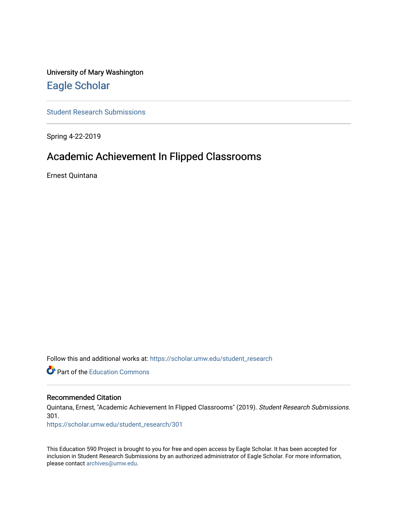University of Mary Washington [Eagle Scholar](https://scholar.umw.edu/) 

[Student Research Submissions](https://scholar.umw.edu/student_research) 

Spring 4-22-2019

# Academic Achievement In Flipped Classrooms

Ernest Quintana

Follow this and additional works at: [https://scholar.umw.edu/student\\_research](https://scholar.umw.edu/student_research?utm_source=scholar.umw.edu%2Fstudent_research%2F301&utm_medium=PDF&utm_campaign=PDFCoverPages)

**P** Part of the [Education Commons](http://network.bepress.com/hgg/discipline/784?utm_source=scholar.umw.edu%2Fstudent_research%2F301&utm_medium=PDF&utm_campaign=PDFCoverPages)

## Recommended Citation

Quintana, Ernest, "Academic Achievement In Flipped Classrooms" (2019). Student Research Submissions. 301.

[https://scholar.umw.edu/student\\_research/301](https://scholar.umw.edu/student_research/301?utm_source=scholar.umw.edu%2Fstudent_research%2F301&utm_medium=PDF&utm_campaign=PDFCoverPages)

This Education 590 Project is brought to you for free and open access by Eagle Scholar. It has been accepted for inclusion in Student Research Submissions by an authorized administrator of Eagle Scholar. For more information, please contact [archives@umw.edu.](mailto:archives@umw.edu)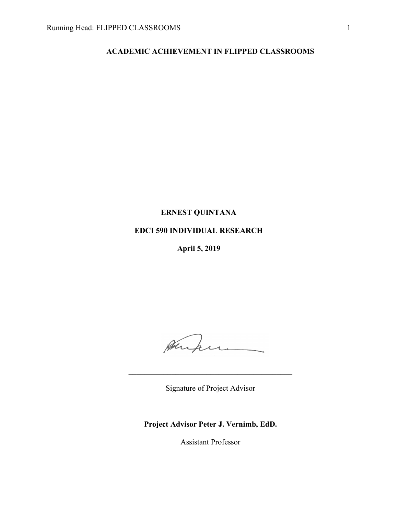# **ACADEMIC ACHIEVEMENT IN FLIPPED CLASSROOMS**

# **ERNEST QUINTANA**

# **EDCI 590 INDIVIDUAL RESEARCH**

**April 5, 2019**

Augu

Signature of Project Advisor

**\_\_\_\_\_\_\_\_\_\_\_\_\_\_\_\_\_\_\_\_\_\_\_\_\_\_\_\_\_\_\_\_\_\_\_\_\_\_\_\_\_\_**

**Project Advisor Peter J. Vernimb, EdD.**

Assistant Professor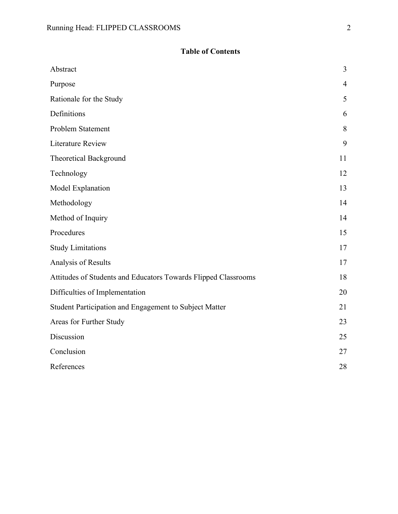# **Table of Contents**

| Abstract                                                       | 3              |
|----------------------------------------------------------------|----------------|
| Purpose                                                        | $\overline{4}$ |
| Rationale for the Study                                        | 5              |
| Definitions                                                    | 6              |
| Problem Statement                                              | 8              |
| <b>Literature Review</b>                                       | 9              |
| <b>Theoretical Background</b>                                  | 11             |
| Technology                                                     | 12             |
| Model Explanation                                              | 13             |
| Methodology                                                    | 14             |
| Method of Inquiry                                              | 14             |
| Procedures                                                     | 15             |
| <b>Study Limitations</b>                                       | 17             |
| Analysis of Results                                            | 17             |
| Attitudes of Students and Educators Towards Flipped Classrooms | 18             |
| Difficulties of Implementation                                 | 20             |
| Student Participation and Engagement to Subject Matter         | 21             |
| Areas for Further Study                                        | 23             |
| Discussion                                                     | 25             |
| Conclusion                                                     | 27             |
| References                                                     | 28             |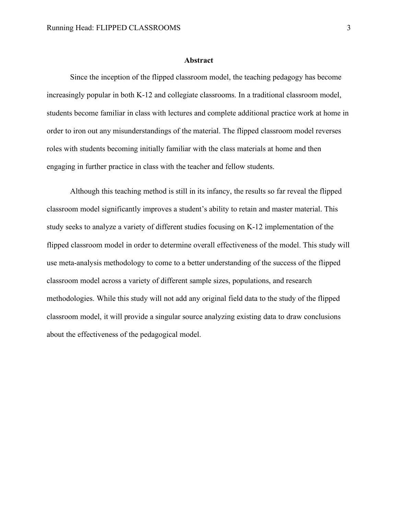#### **Abstract**

Since the inception of the flipped classroom model, the teaching pedagogy has become increasingly popular in both K-12 and collegiate classrooms. In a traditional classroom model, students become familiar in class with lectures and complete additional practice work at home in order to iron out any misunderstandings of the material. The flipped classroom model reverses roles with students becoming initially familiar with the class materials at home and then engaging in further practice in class with the teacher and fellow students.

Although this teaching method is still in its infancy, the results so far reveal the flipped classroom model significantly improves a student's ability to retain and master material. This study seeks to analyze a variety of different studies focusing on K-12 implementation of the flipped classroom model in order to determine overall effectiveness of the model. This study will use meta-analysis methodology to come to a better understanding of the success of the flipped classroom model across a variety of different sample sizes, populations, and research methodologies. While this study will not add any original field data to the study of the flipped classroom model, it will provide a singular source analyzing existing data to draw conclusions about the effectiveness of the pedagogical model.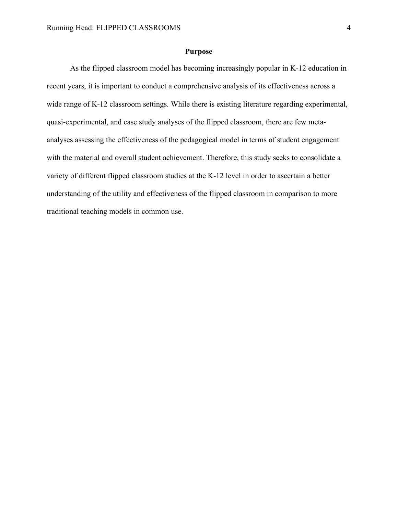## **Purpose**

As the flipped classroom model has becoming increasingly popular in K-12 education in recent years, it is important to conduct a comprehensive analysis of its effectiveness across a wide range of K-12 classroom settings. While there is existing literature regarding experimental, quasi-experimental, and case study analyses of the flipped classroom, there are few metaanalyses assessing the effectiveness of the pedagogical model in terms of student engagement with the material and overall student achievement. Therefore, this study seeks to consolidate a variety of different flipped classroom studies at the K-12 level in order to ascertain a better understanding of the utility and effectiveness of the flipped classroom in comparison to more traditional teaching models in common use.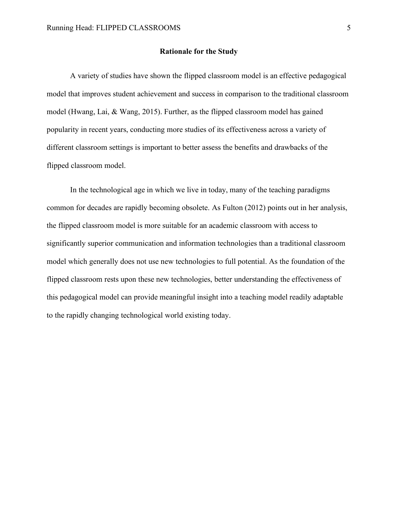### **Rationale for the Study**

A variety of studies have shown the flipped classroom model is an effective pedagogical model that improves student achievement and success in comparison to the traditional classroom model (Hwang, Lai, & Wang, 2015). Further, as the flipped classroom model has gained popularity in recent years, conducting more studies of its effectiveness across a variety of different classroom settings is important to better assess the benefits and drawbacks of the flipped classroom model.

In the technological age in which we live in today, many of the teaching paradigms common for decades are rapidly becoming obsolete. As Fulton (2012) points out in her analysis, the flipped classroom model is more suitable for an academic classroom with access to significantly superior communication and information technologies than a traditional classroom model which generally does not use new technologies to full potential. As the foundation of the flipped classroom rests upon these new technologies, better understanding the effectiveness of this pedagogical model can provide meaningful insight into a teaching model readily adaptable to the rapidly changing technological world existing today.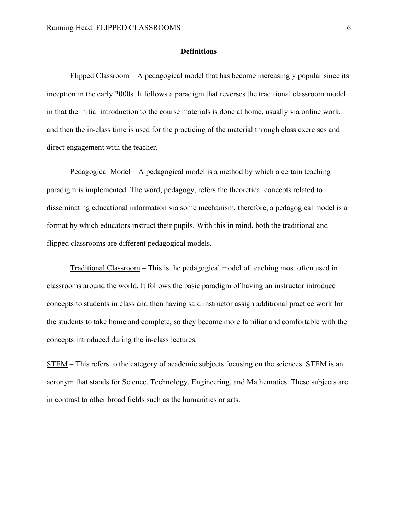## **Definitions**

Flipped Classroom – A pedagogical model that has become increasingly popular since its inception in the early 2000s. It follows a paradigm that reverses the traditional classroom model in that the initial introduction to the course materials is done at home, usually via online work, and then the in-class time is used for the practicing of the material through class exercises and direct engagement with the teacher.

Pedagogical Model – A pedagogical model is a method by which a certain teaching paradigm is implemented. The word, pedagogy, refers the theoretical concepts related to disseminating educational information via some mechanism, therefore, a pedagogical model is a format by which educators instruct their pupils. With this in mind, both the traditional and flipped classrooms are different pedagogical models.

Traditional Classroom – This is the pedagogical model of teaching most often used in classrooms around the world. It follows the basic paradigm of having an instructor introduce concepts to students in class and then having said instructor assign additional practice work for the students to take home and complete, so they become more familiar and comfortable with the concepts introduced during the in-class lectures.

STEM – This refers to the category of academic subjects focusing on the sciences. STEM is an acronym that stands for Science, Technology, Engineering, and Mathematics. These subjects are in contrast to other broad fields such as the humanities or arts.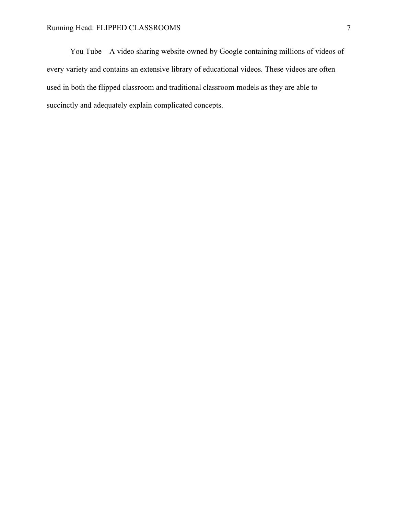You Tube – A video sharing website owned by Google containing millions of videos of every variety and contains an extensive library of educational videos. These videos are often used in both the flipped classroom and traditional classroom models as they are able to succinctly and adequately explain complicated concepts.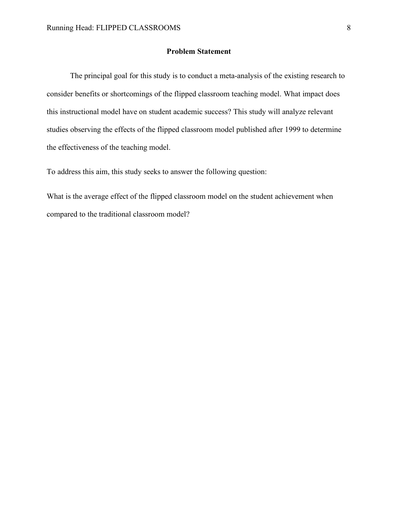## **Problem Statement**

The principal goal for this study is to conduct a meta-analysis of the existing research to consider benefits or shortcomings of the flipped classroom teaching model. What impact does this instructional model have on student academic success? This study will analyze relevant studies observing the effects of the flipped classroom model published after 1999 to determine the effectiveness of the teaching model.

To address this aim, this study seeks to answer the following question:

What is the average effect of the flipped classroom model on the student achievement when compared to the traditional classroom model?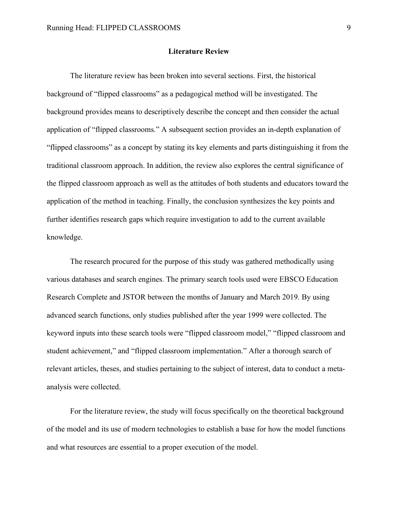#### **Literature Review**

The literature review has been broken into several sections. First, the historical background of "flipped classrooms" as a pedagogical method will be investigated. The background provides means to descriptively describe the concept and then consider the actual application of "flipped classrooms." A subsequent section provides an in-depth explanation of "flipped classrooms" as a concept by stating its key elements and parts distinguishing it from the traditional classroom approach. In addition, the review also explores the central significance of the flipped classroom approach as well as the attitudes of both students and educators toward the application of the method in teaching. Finally, the conclusion synthesizes the key points and further identifies research gaps which require investigation to add to the current available knowledge.

The research procured for the purpose of this study was gathered methodically using various databases and search engines. The primary search tools used were EBSCO Education Research Complete and JSTOR between the months of January and March 2019. By using advanced search functions, only studies published after the year 1999 were collected. The keyword inputs into these search tools were "flipped classroom model," "flipped classroom and student achievement," and "flipped classroom implementation." After a thorough search of relevant articles, theses, and studies pertaining to the subject of interest, data to conduct a metaanalysis were collected.

For the literature review, the study will focus specifically on the theoretical background of the model and its use of modern technologies to establish a base for how the model functions and what resources are essential to a proper execution of the model.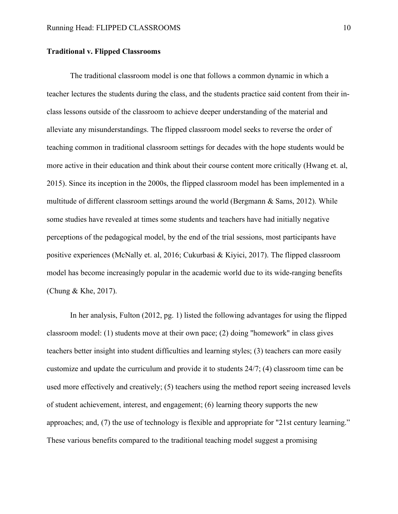## **Traditional v. Flipped Classrooms**

The traditional classroom model is one that follows a common dynamic in which a teacher lectures the students during the class, and the students practice said content from their inclass lessons outside of the classroom to achieve deeper understanding of the material and alleviate any misunderstandings. The flipped classroom model seeks to reverse the order of teaching common in traditional classroom settings for decades with the hope students would be more active in their education and think about their course content more critically (Hwang et. al, 2015). Since its inception in the 2000s, the flipped classroom model has been implemented in a multitude of different classroom settings around the world (Bergmann & Sams, 2012). While some studies have revealed at times some students and teachers have had initially negative perceptions of the pedagogical model, by the end of the trial sessions, most participants have positive experiences (McNally et. al, 2016; Cukurbasi & Kiyici, 2017). The flipped classroom model has become increasingly popular in the academic world due to its wide-ranging benefits (Chung & Khe, 2017).

In her analysis, Fulton (2012, pg. 1) listed the following advantages for using the flipped classroom model: (1) students move at their own pace; (2) doing "homework" in class gives teachers better insight into student difficulties and learning styles; (3) teachers can more easily customize and update the curriculum and provide it to students 24/7; (4) classroom time can be used more effectively and creatively; (5) teachers using the method report seeing increased levels of student achievement, interest, and engagement; (6) learning theory supports the new approaches; and, (7) the use of technology is flexible and appropriate for "21st century learning." These various benefits compared to the traditional teaching model suggest a promising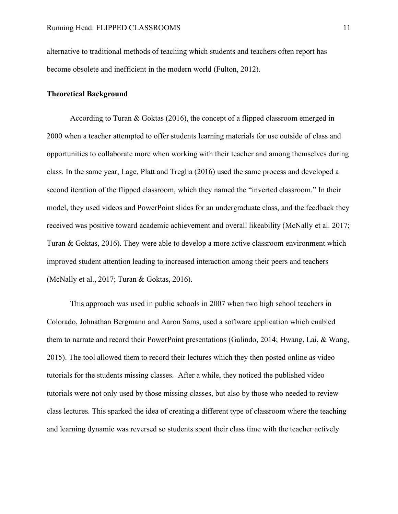alternative to traditional methods of teaching which students and teachers often report has become obsolete and inefficient in the modern world (Fulton, 2012).

## **Theoretical Background**

According to Turan & Goktas (2016), the concept of a flipped classroom emerged in 2000 when a teacher attempted to offer students learning materials for use outside of class and opportunities to collaborate more when working with their teacher and among themselves during class. In the same year, Lage, Platt and Treglia (2016) used the same process and developed a second iteration of the flipped classroom, which they named the "inverted classroom." In their model, they used videos and PowerPoint slides for an undergraduate class, and the feedback they received was positive toward academic achievement and overall likeability (McNally et al. 2017; Turan & Goktas, 2016). They were able to develop a more active classroom environment which improved student attention leading to increased interaction among their peers and teachers (McNally et al., 2017; Turan & Goktas, 2016).

This approach was used in public schools in 2007 when two high school teachers in Colorado, Johnathan Bergmann and Aaron Sams, used a software application which enabled them to narrate and record their PowerPoint presentations (Galindo, 2014; Hwang, Lai, & Wang, 2015). The tool allowed them to record their lectures which they then posted online as video tutorials for the students missing classes. After a while, they noticed the published video tutorials were not only used by those missing classes, but also by those who needed to review class lectures. This sparked the idea of creating a different type of classroom where the teaching and learning dynamic was reversed so students spent their class time with the teacher actively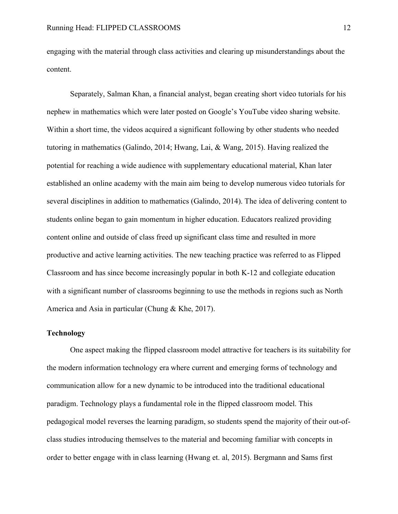engaging with the material through class activities and clearing up misunderstandings about the content.

Separately, Salman Khan, a financial analyst, began creating short video tutorials for his nephew in mathematics which were later posted on Google's YouTube video sharing website. Within a short time, the videos acquired a significant following by other students who needed tutoring in mathematics (Galindo, 2014; Hwang, Lai, & Wang, 2015). Having realized the potential for reaching a wide audience with supplementary educational material, Khan later established an online academy with the main aim being to develop numerous video tutorials for several disciplines in addition to mathematics (Galindo, 2014). The idea of delivering content to students online began to gain momentum in higher education. Educators realized providing content online and outside of class freed up significant class time and resulted in more productive and active learning activities. The new teaching practice was referred to as Flipped Classroom and has since become increasingly popular in both K-12 and collegiate education with a significant number of classrooms beginning to use the methods in regions such as North America and Asia in particular (Chung & Khe, 2017).

## **Technology**

One aspect making the flipped classroom model attractive for teachers is its suitability for the modern information technology era where current and emerging forms of technology and communication allow for a new dynamic to be introduced into the traditional educational paradigm. Technology plays a fundamental role in the flipped classroom model. This pedagogical model reverses the learning paradigm, so students spend the majority of their out-ofclass studies introducing themselves to the material and becoming familiar with concepts in order to better engage with in class learning (Hwang et. al, 2015). Bergmann and Sams first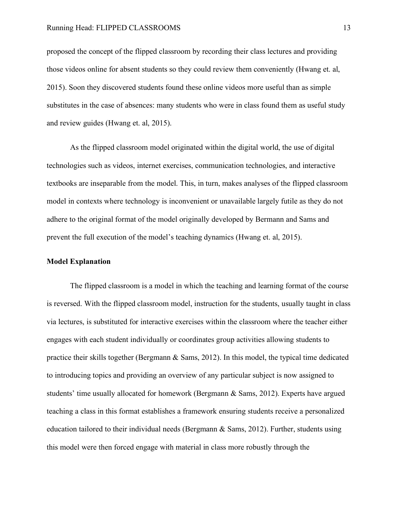proposed the concept of the flipped classroom by recording their class lectures and providing those videos online for absent students so they could review them conveniently (Hwang et. al, 2015). Soon they discovered students found these online videos more useful than as simple substitutes in the case of absences: many students who were in class found them as useful study and review guides (Hwang et. al, 2015).

As the flipped classroom model originated within the digital world, the use of digital technologies such as videos, internet exercises, communication technologies, and interactive textbooks are inseparable from the model. This, in turn, makes analyses of the flipped classroom model in contexts where technology is inconvenient or unavailable largely futile as they do not adhere to the original format of the model originally developed by Bermann and Sams and prevent the full execution of the model's teaching dynamics (Hwang et. al, 2015).

## **Model Explanation**

The flipped classroom is a model in which the teaching and learning format of the course is reversed. With the flipped classroom model, instruction for the students, usually taught in class via lectures, is substituted for interactive exercises within the classroom where the teacher either engages with each student individually or coordinates group activities allowing students to practice their skills together (Bergmann  $\&$  Sams, 2012). In this model, the typical time dedicated to introducing topics and providing an overview of any particular subject is now assigned to students' time usually allocated for homework (Bergmann & Sams, 2012). Experts have argued teaching a class in this format establishes a framework ensuring students receive a personalized education tailored to their individual needs (Bergmann & Sams, 2012). Further, students using this model were then forced engage with material in class more robustly through the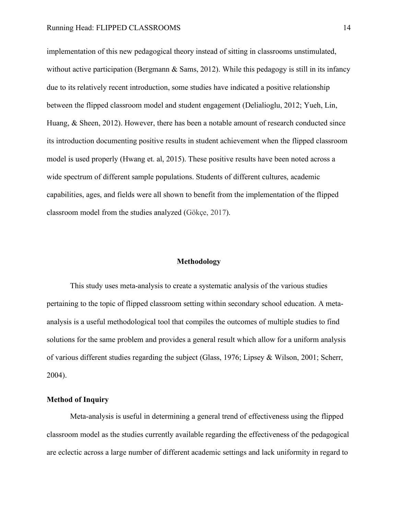implementation of this new pedagogical theory instead of sitting in classrooms unstimulated, without active participation (Bergmann  $\&$  Sams, 2012). While this pedagogy is still in its infancy due to its relatively recent introduction, some studies have indicated a positive relationship between the flipped classroom model and student engagement (Delialioglu, 2012; Yueh, Lin, Huang, & Sheen, 2012). However, there has been a notable amount of research conducted since its introduction documenting positive results in student achievement when the flipped classroom model is used properly (Hwang et. al, 2015). These positive results have been noted across a wide spectrum of different sample populations. Students of different cultures, academic capabilities, ages, and fields were all shown to benefit from the implementation of the flipped classroom model from the studies analyzed (Gökçe, 2017).

## **Methodology**

This study uses meta-analysis to create a systematic analysis of the various studies pertaining to the topic of flipped classroom setting within secondary school education. A metaanalysis is a useful methodological tool that compiles the outcomes of multiple studies to find solutions for the same problem and provides a general result which allow for a uniform analysis of various different studies regarding the subject (Glass, 1976; Lipsey & Wilson, 2001; Scherr, 2004).

## **Method of Inquiry**

Meta-analysis is useful in determining a general trend of effectiveness using the flipped classroom model as the studies currently available regarding the effectiveness of the pedagogical are eclectic across a large number of different academic settings and lack uniformity in regard to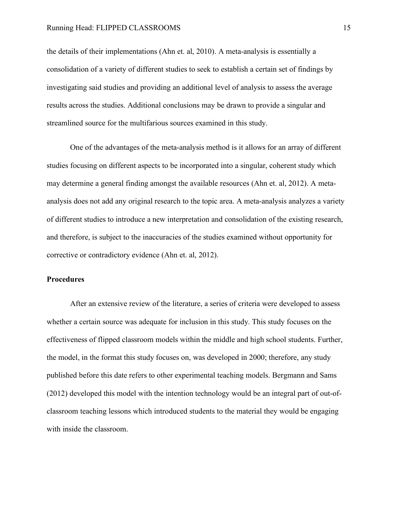the details of their implementations (Ahn et. al, 2010). A meta-analysis is essentially a consolidation of a variety of different studies to seek to establish a certain set of findings by investigating said studies and providing an additional level of analysis to assess the average results across the studies. Additional conclusions may be drawn to provide a singular and streamlined source for the multifarious sources examined in this study.

One of the advantages of the meta-analysis method is it allows for an array of different studies focusing on different aspects to be incorporated into a singular, coherent study which may determine a general finding amongst the available resources (Ahn et. al, 2012). A metaanalysis does not add any original research to the topic area. A meta-analysis analyzes a variety of different studies to introduce a new interpretation and consolidation of the existing research, and therefore, is subject to the inaccuracies of the studies examined without opportunity for corrective or contradictory evidence (Ahn et. al, 2012).

## **Procedures**

After an extensive review of the literature, a series of criteria were developed to assess whether a certain source was adequate for inclusion in this study. This study focuses on the effectiveness of flipped classroom models within the middle and high school students. Further, the model, in the format this study focuses on, was developed in 2000; therefore, any study published before this date refers to other experimental teaching models. Bergmann and Sams (2012) developed this model with the intention technology would be an integral part of out-ofclassroom teaching lessons which introduced students to the material they would be engaging with inside the classroom.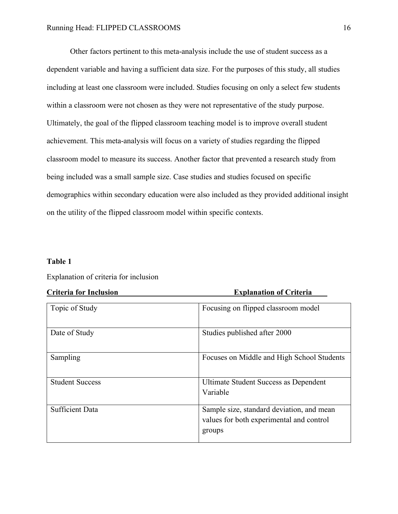Other factors pertinent to this meta-analysis include the use of student success as a dependent variable and having a sufficient data size. For the purposes of this study, all studies including at least one classroom were included. Studies focusing on only a select few students within a classroom were not chosen as they were not representative of the study purpose. Ultimately, the goal of the flipped classroom teaching model is to improve overall student achievement. This meta-analysis will focus on a variety of studies regarding the flipped classroom model to measure its success. Another factor that prevented a research study from being included was a small sample size. Case studies and studies focused on specific demographics within secondary education were also included as they provided additional insight on the utility of the flipped classroom model within specific contexts.

## **Table 1**

## Explanation of criteria for inclusion

| Стисти тот тистияющ    | едианации и стали                                        |
|------------------------|----------------------------------------------------------|
| Topic of Study         | Focusing on flipped classroom model                      |
| Date of Study          | Studies published after 2000                             |
| Sampling               | Focuses on Middle and High School Students               |
| <b>Student Success</b> | <b>Ultimate Student Success as Dependent</b><br>Variable |
| <b>Sufficient Data</b> | Sample size, standard deviation, and mean                |
|                        | values for both experimental and control<br>groups       |

# **Criteria for Inclusion Explanation of Criteria**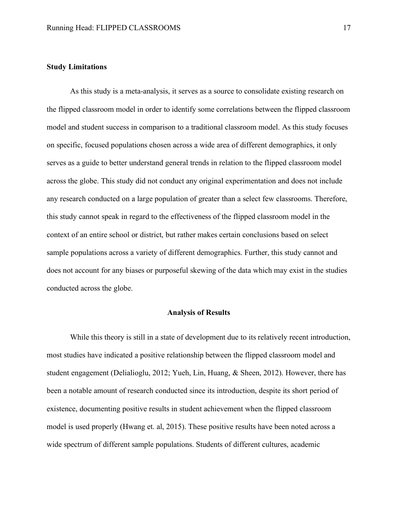#### **Study Limitations**

As this study is a meta-analysis, it serves as a source to consolidate existing research on the flipped classroom model in order to identify some correlations between the flipped classroom model and student success in comparison to a traditional classroom model. As this study focuses on specific, focused populations chosen across a wide area of different demographics, it only serves as a guide to better understand general trends in relation to the flipped classroom model across the globe. This study did not conduct any original experimentation and does not include any research conducted on a large population of greater than a select few classrooms. Therefore, this study cannot speak in regard to the effectiveness of the flipped classroom model in the context of an entire school or district, but rather makes certain conclusions based on select sample populations across a variety of different demographics. Further, this study cannot and does not account for any biases or purposeful skewing of the data which may exist in the studies conducted across the globe.

### **Analysis of Results**

While this theory is still in a state of development due to its relatively recent introduction, most studies have indicated a positive relationship between the flipped classroom model and student engagement (Delialioglu, 2012; Yueh, Lin, Huang, & Sheen, 2012). However, there has been a notable amount of research conducted since its introduction, despite its short period of existence, documenting positive results in student achievement when the flipped classroom model is used properly (Hwang et. al, 2015). These positive results have been noted across a wide spectrum of different sample populations. Students of different cultures, academic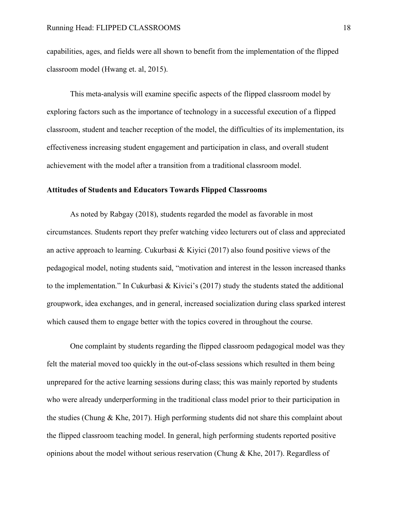capabilities, ages, and fields were all shown to benefit from the implementation of the flipped classroom model (Hwang et. al, 2015).

This meta-analysis will examine specific aspects of the flipped classroom model by exploring factors such as the importance of technology in a successful execution of a flipped classroom, student and teacher reception of the model, the difficulties of its implementation, its effectiveness increasing student engagement and participation in class, and overall student achievement with the model after a transition from a traditional classroom model.

## **Attitudes of Students and Educators Towards Flipped Classrooms**

As noted by Rabgay (2018), students regarded the model as favorable in most circumstances. Students report they prefer watching video lecturers out of class and appreciated an active approach to learning. Cukurbasi  $& Kivici (2017)$  also found positive views of the pedagogical model, noting students said, "motivation and interest in the lesson increased thanks to the implementation." In Cukurbasi & Kivici's (2017) study the students stated the additional groupwork, idea exchanges, and in general, increased socialization during class sparked interest which caused them to engage better with the topics covered in throughout the course.

One complaint by students regarding the flipped classroom pedagogical model was they felt the material moved too quickly in the out-of-class sessions which resulted in them being unprepared for the active learning sessions during class; this was mainly reported by students who were already underperforming in the traditional class model prior to their participation in the studies (Chung & Khe, 2017). High performing students did not share this complaint about the flipped classroom teaching model. In general, high performing students reported positive opinions about the model without serious reservation (Chung & Khe, 2017). Regardless of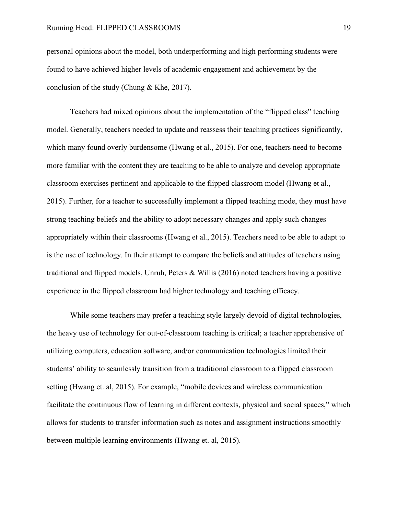personal opinions about the model, both underperforming and high performing students were found to have achieved higher levels of academic engagement and achievement by the conclusion of the study (Chung & Khe, 2017).

Teachers had mixed opinions about the implementation of the "flipped class" teaching model. Generally, teachers needed to update and reassess their teaching practices significantly, which many found overly burdensome (Hwang et al., 2015). For one, teachers need to become more familiar with the content they are teaching to be able to analyze and develop appropriate classroom exercises pertinent and applicable to the flipped classroom model (Hwang et al., 2015). Further, for a teacher to successfully implement a flipped teaching mode, they must have strong teaching beliefs and the ability to adopt necessary changes and apply such changes appropriately within their classrooms (Hwang et al., 2015). Teachers need to be able to adapt to is the use of technology. In their attempt to compare the beliefs and attitudes of teachers using traditional and flipped models, Unruh, Peters & Willis (2016) noted teachers having a positive experience in the flipped classroom had higher technology and teaching efficacy.

While some teachers may prefer a teaching style largely devoid of digital technologies, the heavy use of technology for out-of-classroom teaching is critical; a teacher apprehensive of utilizing computers, education software, and/or communication technologies limited their students' ability to seamlessly transition from a traditional classroom to a flipped classroom setting (Hwang et. al, 2015). For example, "mobile devices and wireless communication facilitate the continuous flow of learning in different contexts, physical and social spaces," which allows for students to transfer information such as notes and assignment instructions smoothly between multiple learning environments (Hwang et. al, 2015).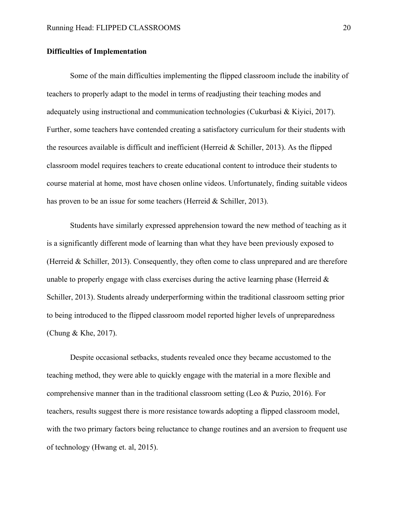## **Difficulties of Implementation**

Some of the main difficulties implementing the flipped classroom include the inability of teachers to properly adapt to the model in terms of readjusting their teaching modes and adequately using instructional and communication technologies (Cukurbasi & Kiyici, 2017). Further, some teachers have contended creating a satisfactory curriculum for their students with the resources available is difficult and inefficient (Herreid  $&$  Schiller, 2013). As the flipped classroom model requires teachers to create educational content to introduce their students to course material at home, most have chosen online videos. Unfortunately, finding suitable videos has proven to be an issue for some teachers (Herreid & Schiller, 2013).

Students have similarly expressed apprehension toward the new method of teaching as it is a significantly different mode of learning than what they have been previously exposed to (Herreid & Schiller, 2013). Consequently, they often come to class unprepared and are therefore unable to properly engage with class exercises during the active learning phase (Herreid  $\&$ Schiller, 2013). Students already underperforming within the traditional classroom setting prior to being introduced to the flipped classroom model reported higher levels of unpreparedness (Chung & Khe, 2017).

Despite occasional setbacks, students revealed once they became accustomed to the teaching method, they were able to quickly engage with the material in a more flexible and comprehensive manner than in the traditional classroom setting (Leo & Puzio, 2016). For teachers, results suggest there is more resistance towards adopting a flipped classroom model, with the two primary factors being reluctance to change routines and an aversion to frequent use of technology (Hwang et. al, 2015).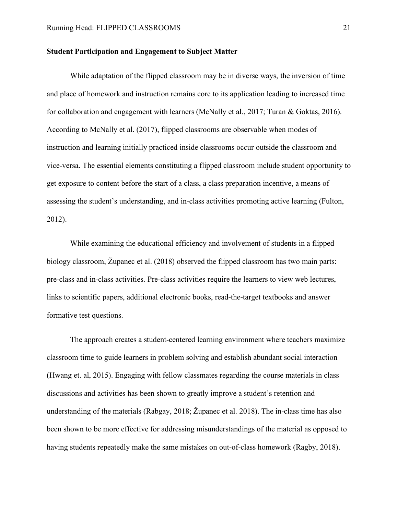### **Student Participation and Engagement to Subject Matter**

While adaptation of the flipped classroom may be in diverse ways, the inversion of time and place of homework and instruction remains core to its application leading to increased time for collaboration and engagement with learners (McNally et al., 2017; Turan & Goktas, 2016). According to McNally et al. (2017), flipped classrooms are observable when modes of instruction and learning initially practiced inside classrooms occur outside the classroom and vice-versa. The essential elements constituting a flipped classroom include student opportunity to get exposure to content before the start of a class, a class preparation incentive, a means of assessing the student's understanding, and in-class activities promoting active learning (Fulton, 2012).

While examining the educational efficiency and involvement of students in a flipped biology classroom, Županec et al. (2018) observed the flipped classroom has two main parts: pre-class and in-class activities. Pre-class activities require the learners to view web lectures, links to scientific papers, additional electronic books, read-the-target textbooks and answer formative test questions.

The approach creates a student-centered learning environment where teachers maximize classroom time to guide learners in problem solving and establish abundant social interaction (Hwang et. al, 2015). Engaging with fellow classmates regarding the course materials in class discussions and activities has been shown to greatly improve a student's retention and understanding of the materials (Rabgay, 2018; Županec et al. 2018). The in-class time has also been shown to be more effective for addressing misunderstandings of the material as opposed to having students repeatedly make the same mistakes on out-of-class homework (Ragby, 2018).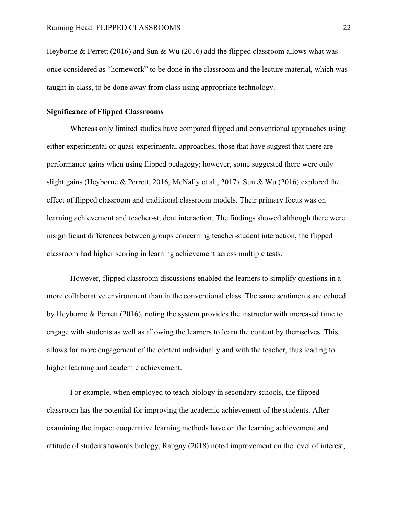Heyborne & Perrett (2016) and Sun & Wu (2016) add the flipped classroom allows what was once considered as "homework" to be done in the classroom and the lecture material, which was taught in class, to be done away from class using appropriate technology.

## **Significance of Flipped Classrooms**

Whereas only limited studies have compared flipped and conventional approaches using either experimental or quasi-experimental approaches, those that have suggest that there are performance gains when using flipped pedagogy; however, some suggested there were only slight gains (Heyborne & Perrett, 2016; McNally et al., 2017). Sun & Wu (2016) explored the effect of flipped classroom and traditional classroom models. Their primary focus was on learning achievement and teacher-student interaction. The findings showed although there were insignificant differences between groups concerning teacher-student interaction, the flipped classroom had higher scoring in learning achievement across multiple tests.

However, flipped classroom discussions enabled the learners to simplify questions in a more collaborative environment than in the conventional class. The same sentiments are echoed by Heyborne & Perrett (2016), noting the system provides the instructor with increased time to engage with students as well as allowing the learners to learn the content by themselves. This allows for more engagement of the content individually and with the teacher, thus leading to higher learning and academic achievement.

For example, when employed to teach biology in secondary schools, the flipped classroom has the potential for improving the academic achievement of the students. After examining the impact cooperative learning methods have on the learning achievement and attitude of students towards biology, Rabgay (2018) noted improvement on the level of interest,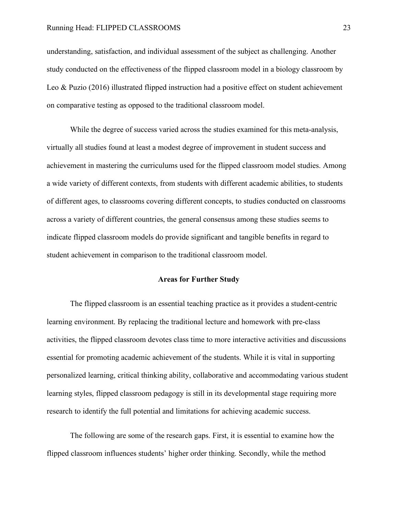understanding, satisfaction, and individual assessment of the subject as challenging. Another study conducted on the effectiveness of the flipped classroom model in a biology classroom by Leo & Puzio (2016) illustrated flipped instruction had a positive effect on student achievement on comparative testing as opposed to the traditional classroom model.

While the degree of success varied across the studies examined for this meta-analysis, virtually all studies found at least a modest degree of improvement in student success and achievement in mastering the curriculums used for the flipped classroom model studies. Among a wide variety of different contexts, from students with different academic abilities, to students of different ages, to classrooms covering different concepts, to studies conducted on classrooms across a variety of different countries, the general consensus among these studies seems to indicate flipped classroom models do provide significant and tangible benefits in regard to student achievement in comparison to the traditional classroom model.

## **Areas for Further Study**

The flipped classroom is an essential teaching practice as it provides a student-centric learning environment. By replacing the traditional lecture and homework with pre-class activities, the flipped classroom devotes class time to more interactive activities and discussions essential for promoting academic achievement of the students. While it is vital in supporting personalized learning, critical thinking ability, collaborative and accommodating various student learning styles, flipped classroom pedagogy is still in its developmental stage requiring more research to identify the full potential and limitations for achieving academic success.

The following are some of the research gaps. First, it is essential to examine how the flipped classroom influences students' higher order thinking. Secondly, while the method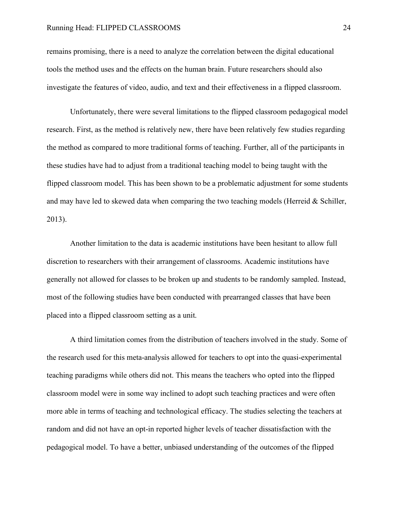remains promising, there is a need to analyze the correlation between the digital educational tools the method uses and the effects on the human brain. Future researchers should also investigate the features of video, audio, and text and their effectiveness in a flipped classroom.

Unfortunately, there were several limitations to the flipped classroom pedagogical model research. First, as the method is relatively new, there have been relatively few studies regarding the method as compared to more traditional forms of teaching. Further, all of the participants in these studies have had to adjust from a traditional teaching model to being taught with the flipped classroom model. This has been shown to be a problematic adjustment for some students and may have led to skewed data when comparing the two teaching models (Herreid & Schiller, 2013).

Another limitation to the data is academic institutions have been hesitant to allow full discretion to researchers with their arrangement of classrooms. Academic institutions have generally not allowed for classes to be broken up and students to be randomly sampled. Instead, most of the following studies have been conducted with prearranged classes that have been placed into a flipped classroom setting as a unit.

A third limitation comes from the distribution of teachers involved in the study. Some of the research used for this meta-analysis allowed for teachers to opt into the quasi-experimental teaching paradigms while others did not. This means the teachers who opted into the flipped classroom model were in some way inclined to adopt such teaching practices and were often more able in terms of teaching and technological efficacy. The studies selecting the teachers at random and did not have an opt-in reported higher levels of teacher dissatisfaction with the pedagogical model. To have a better, unbiased understanding of the outcomes of the flipped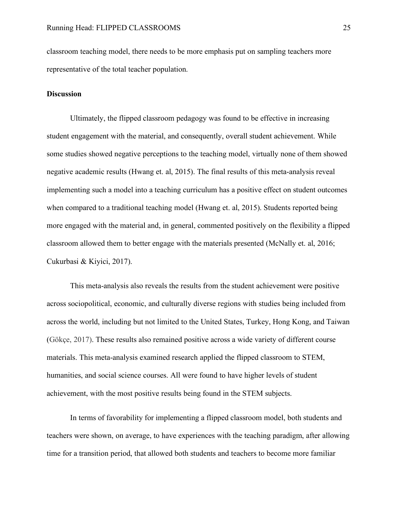classroom teaching model, there needs to be more emphasis put on sampling teachers more representative of the total teacher population.

## **Discussion**

Ultimately, the flipped classroom pedagogy was found to be effective in increasing student engagement with the material, and consequently, overall student achievement. While some studies showed negative perceptions to the teaching model, virtually none of them showed negative academic results (Hwang et. al, 2015). The final results of this meta-analysis reveal implementing such a model into a teaching curriculum has a positive effect on student outcomes when compared to a traditional teaching model (Hwang et. al, 2015). Students reported being more engaged with the material and, in general, commented positively on the flexibility a flipped classroom allowed them to better engage with the materials presented (McNally et. al, 2016; Cukurbasi & Kiyici, 2017).

This meta-analysis also reveals the results from the student achievement were positive across sociopolitical, economic, and culturally diverse regions with studies being included from across the world, including but not limited to the United States, Turkey, Hong Kong, and Taiwan (Gökçe, 2017). These results also remained positive across a wide variety of different course materials. This meta-analysis examined research applied the flipped classroom to STEM, humanities, and social science courses. All were found to have higher levels of student achievement, with the most positive results being found in the STEM subjects.

In terms of favorability for implementing a flipped classroom model, both students and teachers were shown, on average, to have experiences with the teaching paradigm, after allowing time for a transition period, that allowed both students and teachers to become more familiar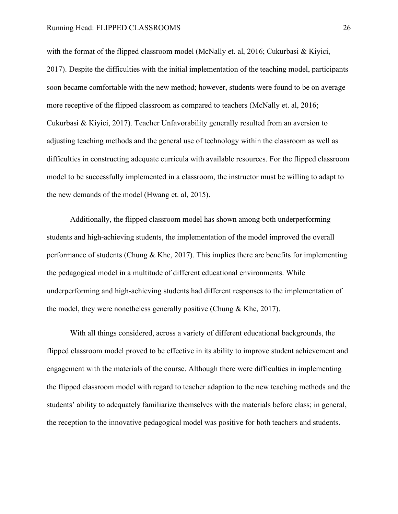with the format of the flipped classroom model (McNally et. al, 2016; Cukurbasi & Kiyici, 2017). Despite the difficulties with the initial implementation of the teaching model, participants soon became comfortable with the new method; however, students were found to be on average more receptive of the flipped classroom as compared to teachers (McNally et. al, 2016; Cukurbasi & Kiyici, 2017). Teacher Unfavorability generally resulted from an aversion to adjusting teaching methods and the general use of technology within the classroom as well as difficulties in constructing adequate curricula with available resources. For the flipped classroom model to be successfully implemented in a classroom, the instructor must be willing to adapt to the new demands of the model (Hwang et. al, 2015).

Additionally, the flipped classroom model has shown among both underperforming students and high-achieving students, the implementation of the model improved the overall performance of students (Chung  $\&$  Khe, 2017). This implies there are benefits for implementing the pedagogical model in a multitude of different educational environments. While underperforming and high-achieving students had different responses to the implementation of the model, they were nonetheless generally positive (Chung & Khe, 2017).

With all things considered, across a variety of different educational backgrounds, the flipped classroom model proved to be effective in its ability to improve student achievement and engagement with the materials of the course. Although there were difficulties in implementing the flipped classroom model with regard to teacher adaption to the new teaching methods and the students' ability to adequately familiarize themselves with the materials before class; in general, the reception to the innovative pedagogical model was positive for both teachers and students.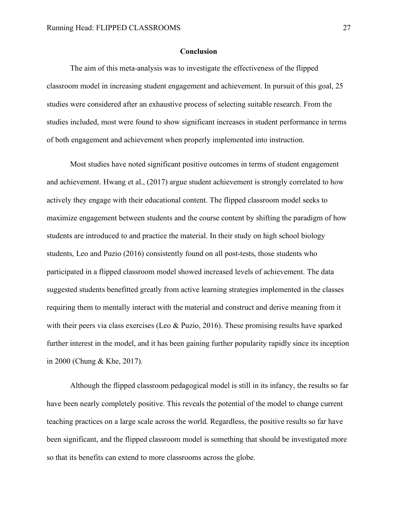## **Conclusion**

The aim of this meta-analysis was to investigate the effectiveness of the flipped classroom model in increasing student engagement and achievement. In pursuit of this goal, 25 studies were considered after an exhaustive process of selecting suitable research. From the studies included, most were found to show significant increases in student performance in terms of both engagement and achievement when properly implemented into instruction.

Most studies have noted significant positive outcomes in terms of student engagement and achievement. Hwang et al., (2017) argue student achievement is strongly correlated to how actively they engage with their educational content. The flipped classroom model seeks to maximize engagement between students and the course content by shifting the paradigm of how students are introduced to and practice the material. In their study on high school biology students, Leo and Puzio (2016) consistently found on all post-tests, those students who participated in a flipped classroom model showed increased levels of achievement. The data suggested students benefitted greatly from active learning strategies implemented in the classes requiring them to mentally interact with the material and construct and derive meaning from it with their peers via class exercises (Leo & Puzio, 2016). These promising results have sparked further interest in the model, and it has been gaining further popularity rapidly since its inception in 2000 (Chung & Khe, 2017).

Although the flipped classroom pedagogical model is still in its infancy, the results so far have been nearly completely positive. This reveals the potential of the model to change current teaching practices on a large scale across the world. Regardless, the positive results so far have been significant, and the flipped classroom model is something that should be investigated more so that its benefits can extend to more classrooms across the globe.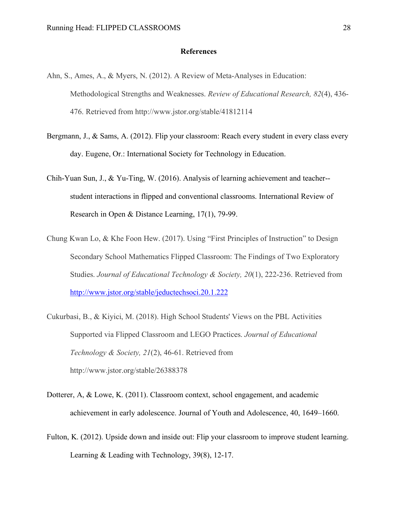### **References**

- Ahn, S., Ames, A., & Myers, N. (2012). A Review of Meta-Analyses in Education: Methodological Strengths and Weaknesses. *Review of Educational Research, 82*(4), 436- 476. Retrieved from http://www.jstor.org/stable/41812114
- Bergmann, J., & Sams, A. (2012). Flip your classroom: Reach every student in every class every day. Eugene, Or.: International Society for Technology in Education.
- Chih-Yuan Sun, J., & Yu-Ting, W. (2016). Analysis of learning achievement and teacher- student interactions in flipped and conventional classrooms. International Review of Research in Open & Distance Learning, 17(1), 79-99.
- Chung Kwan Lo, & Khe Foon Hew. (2017). Using "First Principles of Instruction" to Design Secondary School Mathematics Flipped Classroom: The Findings of Two Exploratory Studies. *Journal of Educational Technology & Society, 20*(1), 222-236. Retrieved from http://www.jstor.org/stable/jeductechsoci.20.1.222
- Cukurbasi, B., & Kiyici, M. (2018). High School Students' Views on the PBL Activities Supported via Flipped Classroom and LEGO Practices. *Journal of Educational Technology & Society, 21*(2), 46-61. Retrieved from http://www.jstor.org/stable/26388378
- Dotterer, A, & Lowe, K. (2011). Classroom context, school engagement, and academic achievement in early adolescence. Journal of Youth and Adolescence, 40, 1649–1660.
- Fulton, K. (2012). Upside down and inside out: Flip your classroom to improve student learning. Learning & Leading with Technology, 39(8), 12-17.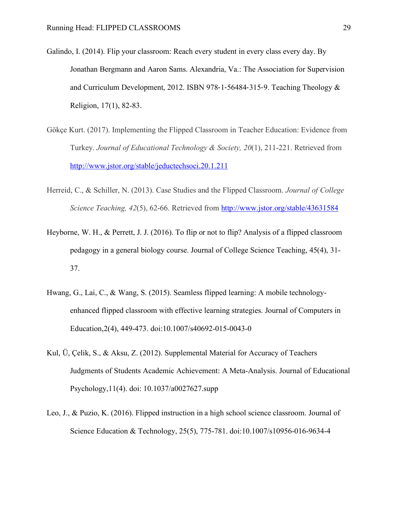- Galindo, I. (2014). Flip your classroom: Reach every student in every class every day. By Jonathan Bergmann and Aaron Sams. Alexandria, Va.: The Association for Supervision and Curriculum Development, 2012. ISBN 978-1-56484-315-9. Teaching Theology & Religion, 17(1), 82-83.
- Gökçe Kurt. (2017). Implementing the Flipped Classroom in Teacher Education: Evidence from Turkey. *Journal of Educational Technology & Society, 20*(1), 211-221. Retrieved from http://www.jstor.org/stable/jeductechsoci.20.1.211
- Herreid, C., & Schiller, N. (2013). Case Studies and the Flipped Classroom. *Journal of College Science Teaching, 42*(5), 62-66. Retrieved from http://www.jstor.org/stable/43631584
- Heyborne, W. H., & Perrett, J. J. (2016). To flip or not to flip? Analysis of a flipped classroom pedagogy in a general biology course. Journal of College Science Teaching, 45(4), 31- 37.
- Hwang, G., Lai, C., & Wang, S. (2015). Seamless flipped learning: A mobile technologyenhanced flipped classroom with effective learning strategies. Journal of Computers in Education,2(4), 449-473. doi:10.1007/s40692-015-0043-0
- Kul, Ü, Çelik, S., & Aksu, Z. (2012). Supplemental Material for Accuracy of Teachers Judgments of Students Academic Achievement: A Meta-Analysis. Journal of Educational Psychology,11(4). doi: 10.1037/a0027627.supp
- Leo, J., & Puzio, K. (2016). Flipped instruction in a high school science classroom. Journal of Science Education & Technology, 25(5), 775-781. doi:10.1007/s10956-016-9634-4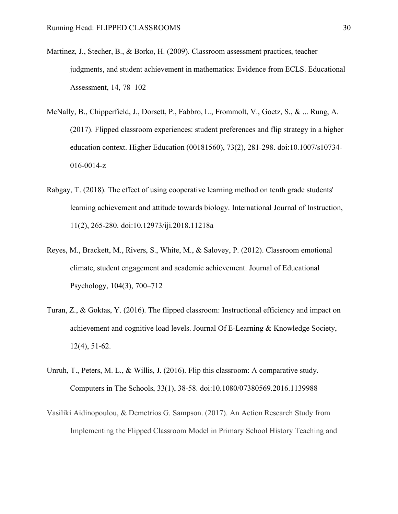- Martinez, J., Stecher, B., & Borko, H. (2009). Classroom assessment practices, teacher judgments, and student achievement in mathematics: Evidence from ECLS. Educational Assessment, 14, 78–102
- McNally, B., Chipperfield, J., Dorsett, P., Fabbro, L., Frommolt, V., Goetz, S., & ... Rung, A. (2017). Flipped classroom experiences: student preferences and flip strategy in a higher education context. Higher Education (00181560), 73(2), 281-298. doi:10.1007/s10734- 016-0014-z
- Rabgay, T. (2018). The effect of using cooperative learning method on tenth grade students' learning achievement and attitude towards biology. International Journal of Instruction, 11(2), 265-280. doi:10.12973/iji.2018.11218a
- Reyes, M., Brackett, M., Rivers, S., White, M., & Salovey, P. (2012). Classroom emotional climate, student engagement and academic achievement. Journal of Educational Psychology, 104(3), 700–712
- Turan, Z., & Goktas, Y. (2016). The flipped classroom: Instructional efficiency and impact on achievement and cognitive load levels. Journal Of E-Learning & Knowledge Society, 12(4), 51-62.
- Unruh, T., Peters, M. L., & Willis, J. (2016). Flip this classroom: A comparative study. Computers in The Schools, 33(1), 38-58. doi:10.1080/07380569.2016.1139988
- Vasiliki Aidinopoulou, & Demetrios G. Sampson. (2017). An Action Research Study from Implementing the Flipped Classroom Model in Primary School History Teaching and